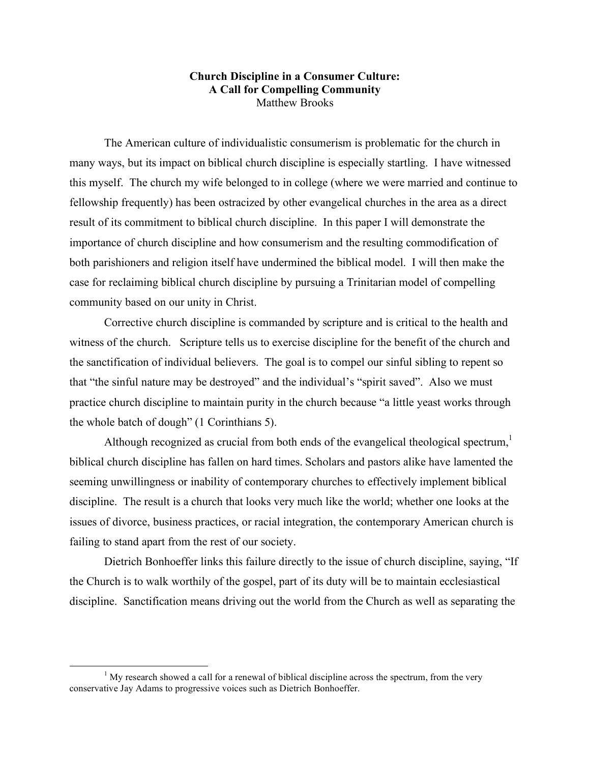## **Church Discipline in a Consumer Culture: A Call for Compelling Community** Matthew Brooks

The American culture of individualistic consumerism is problematic for the church in many ways, but its impact on biblical church discipline is especially startling. I have witnessed this myself. The church my wife belonged to in college (where we were married and continue to fellowship frequently) has been ostracized by other evangelical churches in the area as a direct result of its commitment to biblical church discipline. In this paper I will demonstrate the importance of church discipline and how consumerism and the resulting commodification of both parishioners and religion itself have undermined the biblical model. I will then make the case for reclaiming biblical church discipline by pursuing a Trinitarian model of compelling community based on our unity in Christ.

Corrective church discipline is commanded by scripture and is critical to the health and witness of the church. Scripture tells us to exercise discipline for the benefit of the church and the sanctification of individual believers. The goal is to compel our sinful sibling to repent so that "the sinful nature may be destroyed" and the individual's "spirit saved". Also we must practice church discipline to maintain purity in the church because "a little yeast works through the whole batch of dough" (1 Corinthians 5).

Although recognized as crucial from both ends of the evangelical theological spectrum, biblical church discipline has fallen on hard times. Scholars and pastors alike have lamented the seeming unwillingness or inability of contemporary churches to effectively implement biblical discipline. The result is a church that looks very much like the world; whether one looks at the issues of divorce, business practices, or racial integration, the contemporary American church is failing to stand apart from the rest of our society.

Dietrich Bonhoeffer links this failure directly to the issue of church discipline, saying, "If the Church is to walk worthily of the gospel, part of its duty will be to maintain ecclesiastical discipline. Sanctification means driving out the world from the Church as well as separating the

 $<sup>1</sup>$  My research showed a call for a renewal of biblical discipline across the spectrum, from the very</sup> conservative Jay Adams to progressive voices such as Dietrich Bonhoeffer.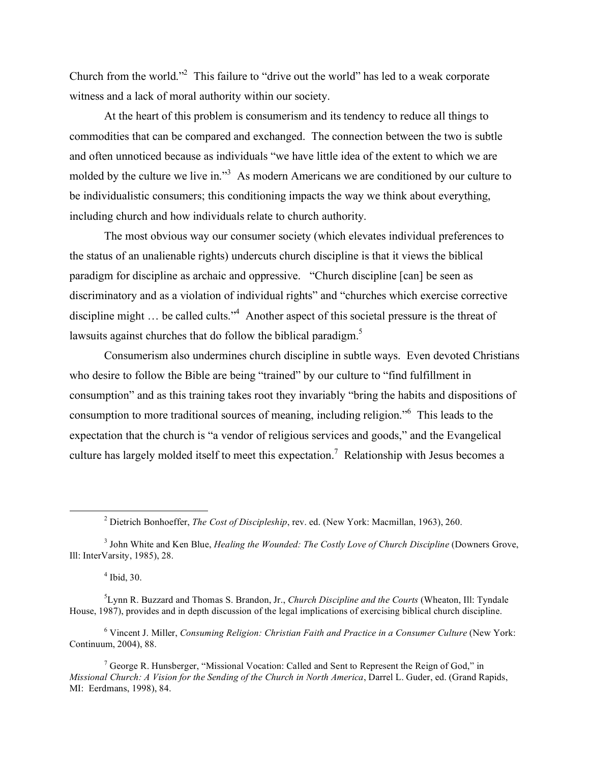Church from the world."<sup>2</sup> This failure to "drive out the world" has led to a weak corporate witness and a lack of moral authority within our society.

At the heart of this problem is consumerism and its tendency to reduce all things to commodities that can be compared and exchanged. The connection between the two is subtle and often unnoticed because as individuals "we have little idea of the extent to which we are molded by the culture we live in."<sup>3</sup> As modern Americans we are conditioned by our culture to be individualistic consumers; this conditioning impacts the way we think about everything, including church and how individuals relate to church authority.

The most obvious way our consumer society (which elevates individual preferences to the status of an unalienable rights) undercuts church discipline is that it views the biblical paradigm for discipline as archaic and oppressive. "Church discipline [can] be seen as discriminatory and as a violation of individual rights" and "churches which exercise corrective discipline might ... be called cults.<sup>34</sup> Another aspect of this societal pressure is the threat of lawsuits against churches that do follow the biblical paradigm.<sup>5</sup>

Consumerism also undermines church discipline in subtle ways. Even devoted Christians who desire to follow the Bible are being "trained" by our culture to "find fulfillment in consumption" and as this training takes root they invariably "bring the habits and dispositions of consumption to more traditional sources of meaning, including religion." <sup>6</sup> This leads to the expectation that the church is "a vendor of religious services and goods," and the Evangelical culture has largely molded itself to meet this expectation.<sup>7</sup> Relationship with Jesus becomes a

<sup>6</sup> Vincent J. Miller, *Consuming Religion: Christian Faith and Practice in a Consumer Culture* (New York: Continuum, 2004), 88.

<sup>7</sup> George R. Hunsberger, "Missional Vocation: Called and Sent to Represent the Reign of God," in *Missional Church: A Vision for the Sending of the Church in North America*, Darrel L. Guder, ed. (Grand Rapids, MI: Eerdmans, 1998), 84.

 <sup>2</sup> Dietrich Bonhoeffer, *The Cost of Discipleship*, rev. ed. (New York: Macmillan, 1963), 260.

<sup>3</sup> John White and Ken Blue, *Healing the Wounded: The Costly Love of Church Discipline* (Downers Grove, Ill: InterVarsity, 1985), 28.

 $<sup>4</sup>$  Ibid, 30.</sup>

<sup>5</sup> Lynn R. Buzzard and Thomas S. Brandon, Jr., *Church Discipline and the Courts* (Wheaton, Ill: Tyndale House, 1987), provides and in depth discussion of the legal implications of exercising biblical church discipline.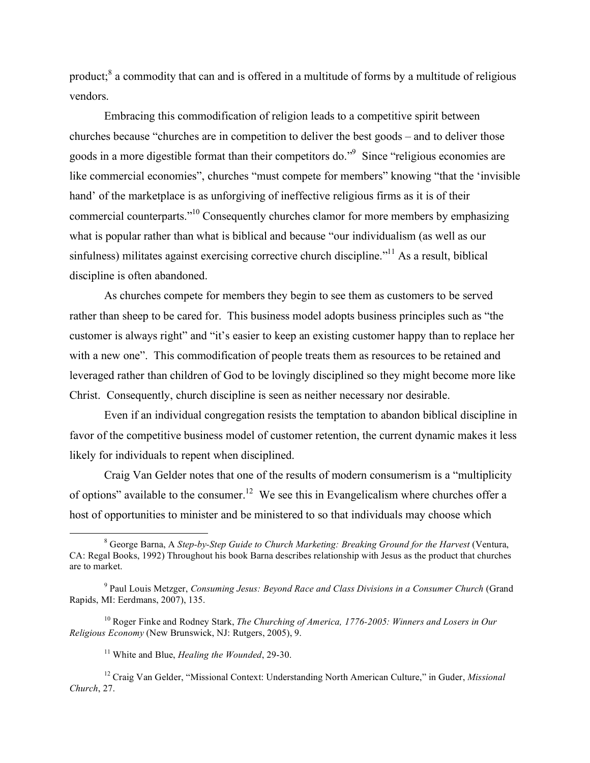product;<sup>8</sup> a commodity that can and is offered in a multitude of forms by a multitude of religious vendors.

Embracing this commodification of religion leads to a competitive spirit between churches because "churches are in competition to deliver the best goods – and to deliver those goods in a more digestible format than their competitors do."<sup>9</sup> Since "religious economies are like commercial economies", churches "must compete for members" knowing "that the 'invisible hand' of the marketplace is as unforgiving of ineffective religious firms as it is of their commercial counterparts."<sup>10</sup> Consequently churches clamor for more members by emphasizing what is popular rather than what is biblical and because "our individualism (as well as our sinfulness) militates against exercising corrective church discipline."<sup>11</sup> As a result, biblical discipline is often abandoned.

As churches compete for members they begin to see them as customers to be served rather than sheep to be cared for. This business model adopts business principles such as "the customer is always right" and "it's easier to keep an existing customer happy than to replace her with a new one". This commodification of people treats them as resources to be retained and leveraged rather than children of God to be lovingly disciplined so they might become more like Christ. Consequently, church discipline is seen as neither necessary nor desirable.

Even if an individual congregation resists the temptation to abandon biblical discipline in favor of the competitive business model of customer retention, the current dynamic makes it less likely for individuals to repent when disciplined.

Craig Van Gelder notes that one of the results of modern consumerism is a "multiplicity of options" available to the consumer.<sup>12</sup> We see this in Evangelicalism where churches offer a host of opportunities to minister and be ministered to so that individuals may choose which

 <sup>8</sup> George Barna, <sup>A</sup> *Step-by-Step Guide to Church Marketing: Breaking Ground for the Harvest* (Ventura, CA: Regal Books, 1992) Throughout his book Barna describes relationship with Jesus as the product that churches are to market.

<sup>9</sup> Paul Louis Metzger, *Consuming Jesus: Beyond Race and Class Divisions in a Consumer Church* (Grand Rapids, MI: Eerdmans, 2007), 135.

<sup>10</sup> Roger Finke and Rodney Stark, *The Churching of America, 1776-2005: Winners and Losers in Our Religious Economy* (New Brunswick, NJ: Rutgers, 2005), 9.

<sup>11</sup> White and Blue, *Healing the Wounded*, 29-30.

<sup>12</sup> Craig Van Gelder, "Missional Context: Understanding North American Culture," in Guder, *Missional Church*, 27.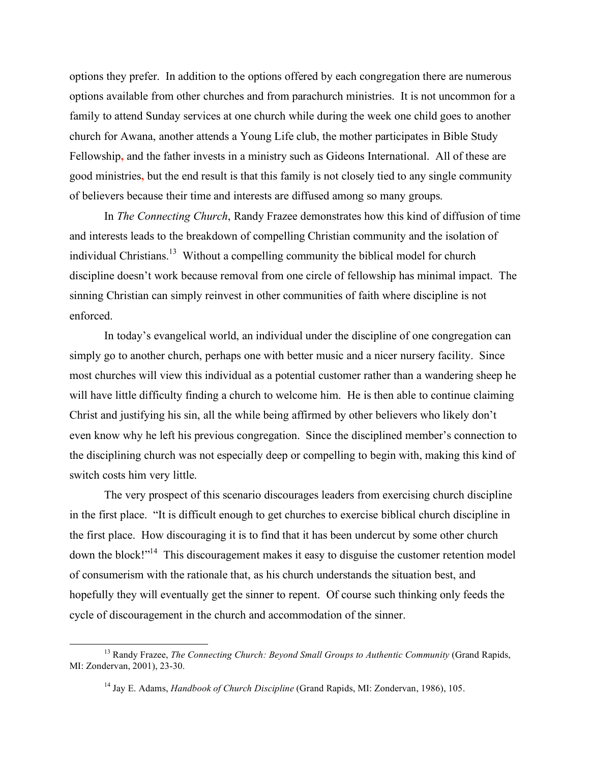options they prefer. In addition to the options offered by each congregation there are numerous options available from other churches and from parachurch ministries. It is not uncommon for a family to attend Sunday services at one church while during the week one child goes to another church for Awana, another attends a Young Life club, the mother participates in Bible Study Fellowship**,** and the father invests in a ministry such as Gideons International. All of these are good ministries**,** but the end result is that this family is not closely tied to any single community of believers because their time and interests are diffused among so many groups.

In *The Connecting Church*, Randy Frazee demonstrates how this kind of diffusion of time and interests leads to the breakdown of compelling Christian community and the isolation of individual Christians.<sup>13</sup> Without a compelling community the biblical model for church discipline doesn't work because removal from one circle of fellowship has minimal impact. The sinning Christian can simply reinvest in other communities of faith where discipline is not enforced.

In today's evangelical world, an individual under the discipline of one congregation can simply go to another church, perhaps one with better music and a nicer nursery facility. Since most churches will view this individual as a potential customer rather than a wandering sheep he will have little difficulty finding a church to welcome him. He is then able to continue claiming Christ and justifying his sin, all the while being affirmed by other believers who likely don't even know why he left his previous congregation. Since the disciplined member's connection to the disciplining church was not especially deep or compelling to begin with, making this kind of switch costs him very little.

The very prospect of this scenario discourages leaders from exercising church discipline in the first place. "It is difficult enough to get churches to exercise biblical church discipline in the first place. How discouraging it is to find that it has been undercut by some other church down the block!"<sup>14</sup> This discouragement makes it easy to disguise the customer retention model of consumerism with the rationale that, as his church understands the situation best, and hopefully they will eventually get the sinner to repent. Of course such thinking only feeds the cycle of discouragement in the church and accommodation of the sinner.

 <sup>13</sup> Randy Frazee, *The Connecting Church: Beyond Small Groups to Authentic Community* (Grand Rapids, MI: Zondervan, 2001), 23-30.

<sup>14</sup> Jay E. Adams, *Handbook of Church Discipline* (Grand Rapids, MI: Zondervan, 1986), 105.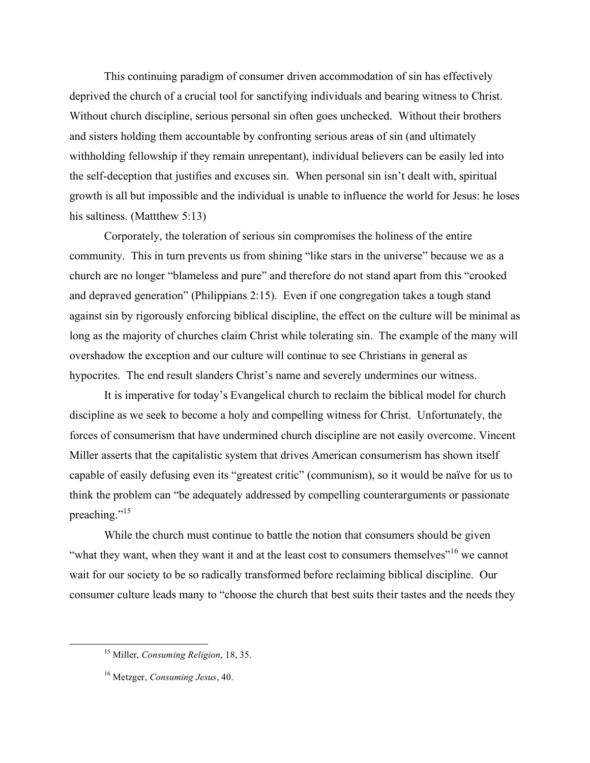This continuing paradigm of consumer driven accommodation of sin has effectively deprived the church of a crucial tool for sanctifying individuals and bearing witness to Christ. Without church discipline, serious personal sin often goes unchecked. Without their brothers and sisters holding them accountable by confronting serious areas of sin (and ultimately withholding fellowship if they remain unrepentant), individual believers can be easily led into the self-deception that justifies and excuses sin. When personal sin isn't dealt with, spiritual growth is all but impossible and the individual is unable to influence the world for Jesus: he loses his saltiness. (Mattthew 5:13)

Corporately, the toleration of serious sin compromises the holiness of the entire community. This in turn prevents us from shining "like stars in the universe" because we as a church are no longer "blameless and pure" and therefore do not stand apart from this "crooked and depraved generation" (Philippians 2:15). Even if one congregation takes a tough stand against sin by rigorously enforcing biblical discipline, the effect on the culture will be minimal as long as the majority of churches claim Christ while tolerating sin. The example of the many will overshadow the exception and our culture will continue to see Christians in general as hypocrites. The end result slanders Christ's name and severely undermines our witness.

It is imperative for today's Evangelical church to reclaim the biblical model for church discipline as we seek to become a holy and compelling witness for Christ. Unfortunately, the forces of consumerism that have undermined church discipline are not easily overcome. Vincent Miller asserts that the capitalistic system that drives American consumerism has shown itself capable of easily defusing even its "greatest critic" (communism), so it would be naïve for us to think the problem can "be adequately addressed by compelling counterarguments or passionate preaching."<sup>15</sup>

While the church must continue to battle the notion that consumers should be given "what they want, when they want it and at the least cost to consumers themselves"<sup>16</sup> we cannot wait for our society to be so radically transformed before reclaiming biblical discipline. Our consumer culture leads many to "choose the church that best suits their tastes and the needs they

 <sup>15</sup> Miller, *Consuming Religion*, 18, 35.

<sup>16</sup> Metzger, *Consuming Jesus*, 40.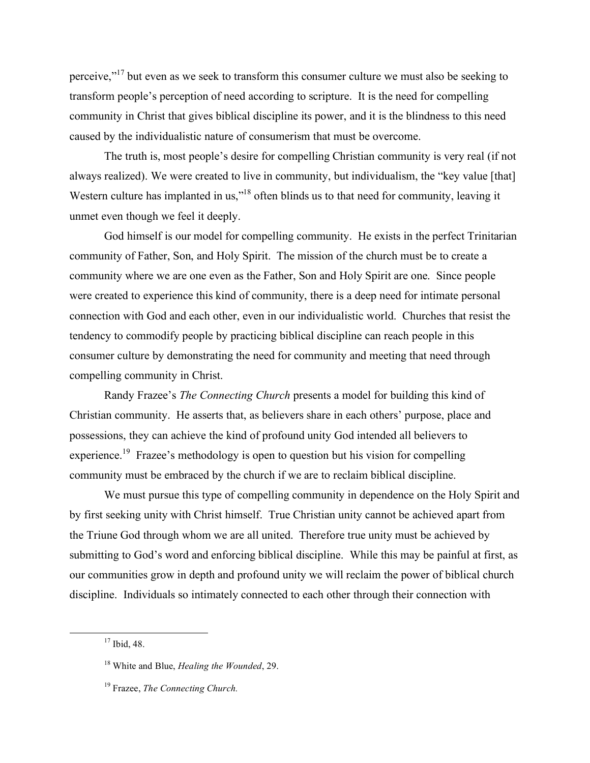perceive,"<sup>17</sup> but even as we seek to transform this consumer culture we must also be seeking to transform people's perception of need according to scripture. It is the need for compelling community in Christ that gives biblical discipline its power, and it is the blindness to this need caused by the individualistic nature of consumerism that must be overcome.

The truth is, most people's desire for compelling Christian community is very real (if not always realized). We were created to live in community, but individualism, the "key value [that] Western culture has implanted in us,"<sup>18</sup> often blinds us to that need for community, leaving it unmet even though we feel it deeply.

God himself is our model for compelling community. He exists in the perfect Trinitarian community of Father, Son, and Holy Spirit. The mission of the church must be to create a community where we are one even as the Father, Son and Holy Spirit are one. Since people were created to experience this kind of community, there is a deep need for intimate personal connection with God and each other, even in our individualistic world. Churches that resist the tendency to commodify people by practicing biblical discipline can reach people in this consumer culture by demonstrating the need for community and meeting that need through compelling community in Christ.

Randy Frazee's *The Connecting Church* presents a model for building this kind of Christian community. He asserts that, as believers share in each others' purpose, place and possessions, they can achieve the kind of profound unity God intended all believers to experience.<sup>19</sup> Frazee's methodology is open to question but his vision for compelling community must be embraced by the church if we are to reclaim biblical discipline.

We must pursue this type of compelling community in dependence on the Holy Spirit and by first seeking unity with Christ himself. True Christian unity cannot be achieved apart from the Triune God through whom we are all united. Therefore true unity must be achieved by submitting to God's word and enforcing biblical discipline. While this may be painful at first, as our communities grow in depth and profound unity we will reclaim the power of biblical church discipline. Individuals so intimately connected to each other through their connection with

 $17$  Ibid, 48.

<sup>18</sup> White and Blue, *Healing the Wounded*, 29.

<sup>19</sup> Frazee, *The Connecting Church.*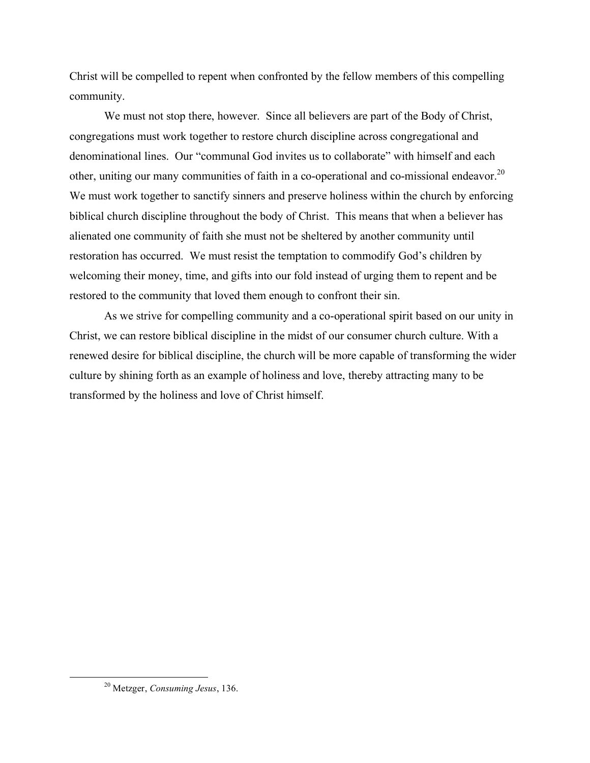Christ will be compelled to repent when confronted by the fellow members of this compelling community.

We must not stop there, however. Since all believers are part of the Body of Christ, congregations must work together to restore church discipline across congregational and denominational lines. Our "communal God invites us to collaborate" with himself and each other, uniting our many communities of faith in a co-operational and co-missional endeavor.<sup>20</sup> We must work together to sanctify sinners and preserve holiness within the church by enforcing biblical church discipline throughout the body of Christ. This means that when a believer has alienated one community of faith she must not be sheltered by another community until restoration has occurred. We must resist the temptation to commodify God's children by welcoming their money, time, and gifts into our fold instead of urging them to repent and be restored to the community that loved them enough to confront their sin.

As we strive for compelling community and a co-operational spirit based on our unity in Christ, we can restore biblical discipline in the midst of our consumer church culture. With a renewed desire for biblical discipline, the church will be more capable of transforming the wider culture by shining forth as an example of holiness and love, thereby attracting many to be transformed by the holiness and love of Christ himself.

 <sup>20</sup> Metzger, *Consuming Jesus*, 136.